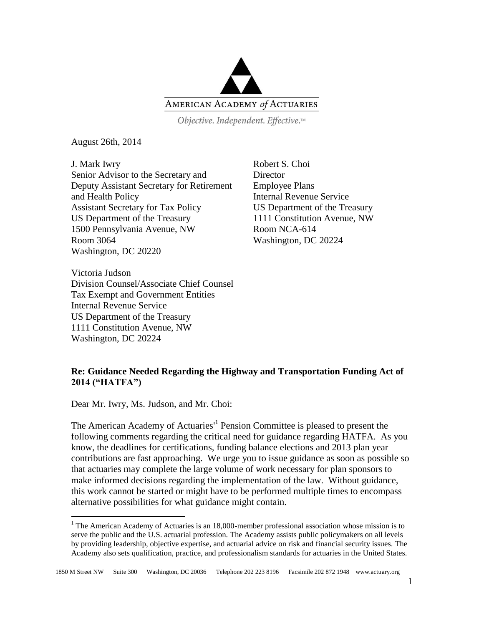

Objective. Independent. Effective.™

August 26th, 2014

J. Mark Iwry Senior Advisor to the Secretary and Deputy Assistant Secretary for Retirement and Health Policy Assistant Secretary for Tax Policy US Department of the Treasury 1500 Pennsylvania Avenue, NW Room 3064 Washington, DC 20220

Victoria Judson Division Counsel/Associate Chief Counsel Tax Exempt and Government Entities Internal Revenue Service US Department of the Treasury 1111 Constitution Avenue, NW Washington, DC 20224

Robert S. Choi **Director** Employee Plans Internal Revenue Service US Department of the Treasury 1111 Constitution Avenue, NW Room NCA-614 Washington, DC 20224

## **Re: Guidance Needed Regarding the Highway and Transportation Funding Act of 2014 ("HATFA")**

Dear Mr. Iwry, Ms. Judson, and Mr. Choi:

 $\overline{a}$ 

The American Academy of Actuaries<sup>1</sup> Pension Committee is pleased to present the following comments regarding the critical need for guidance regarding HATFA. As you know, the deadlines for certifications, funding balance elections and 2013 plan year contributions are fast approaching. We urge you to issue guidance as soon as possible so that actuaries may complete the large volume of work necessary for plan sponsors to make informed decisions regarding the implementation of the law. Without guidance, this work cannot be started or might have to be performed multiple times to encompass alternative possibilities for what guidance might contain.

 $1$  The American Academy of Actuaries is an 18,000-member professional association whose mission is to serve the public and the U.S. actuarial profession. The Academy assists public policymakers on all levels by providing leadership, objective expertise, and actuarial advice on risk and financial security issues. The Academy also sets qualification, practice, and professionalism standards for actuaries in the United States.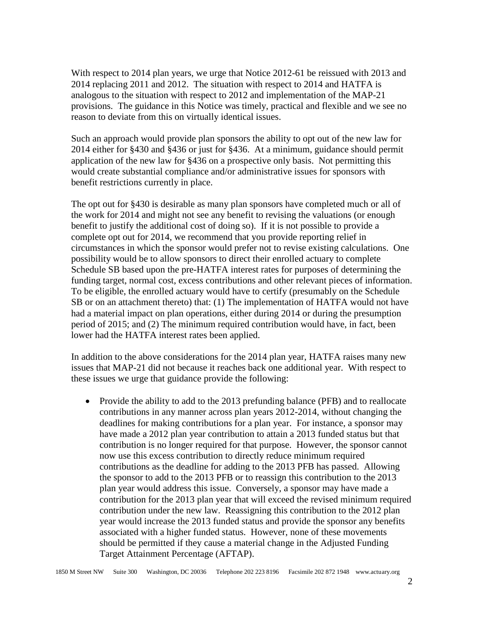With respect to 2014 plan years, we urge that Notice 2012-61 be reissued with 2013 and 2014 replacing 2011 and 2012. The situation with respect to 2014 and HATFA is analogous to the situation with respect to 2012 and implementation of the MAP-21 provisions. The guidance in this Notice was timely, practical and flexible and we see no reason to deviate from this on virtually identical issues.

Such an approach would provide plan sponsors the ability to opt out of the new law for 2014 either for §430 and §436 or just for §436. At a minimum, guidance should permit application of the new law for §436 on a prospective only basis. Not permitting this would create substantial compliance and/or administrative issues for sponsors with benefit restrictions currently in place.

The opt out for §430 is desirable as many plan sponsors have completed much or all of the work for 2014 and might not see any benefit to revising the valuations (or enough benefit to justify the additional cost of doing so). If it is not possible to provide a complete opt out for 2014, we recommend that you provide reporting relief in circumstances in which the sponsor would prefer not to revise existing calculations. One possibility would be to allow sponsors to direct their enrolled actuary to complete Schedule SB based upon the pre-HATFA interest rates for purposes of determining the funding target, normal cost, excess contributions and other relevant pieces of information. To be eligible, the enrolled actuary would have to certify (presumably on the Schedule SB or on an attachment thereto) that: (1) The implementation of HATFA would not have had a material impact on plan operations, either during 2014 or during the presumption period of 2015; and (2) The minimum required contribution would have, in fact, been lower had the HATFA interest rates been applied.

In addition to the above considerations for the 2014 plan year, HATFA raises many new issues that MAP-21 did not because it reaches back one additional year. With respect to these issues we urge that guidance provide the following:

• Provide the ability to add to the 2013 prefunding balance (PFB) and to reallocate contributions in any manner across plan years 2012-2014, without changing the deadlines for making contributions for a plan year. For instance, a sponsor may have made a 2012 plan year contribution to attain a 2013 funded status but that contribution is no longer required for that purpose. However, the sponsor cannot now use this excess contribution to directly reduce minimum required contributions as the deadline for adding to the 2013 PFB has passed. Allowing the sponsor to add to the 2013 PFB or to reassign this contribution to the 2013 plan year would address this issue. Conversely, a sponsor may have made a contribution for the 2013 plan year that will exceed the revised minimum required contribution under the new law. Reassigning this contribution to the 2012 plan year would increase the 2013 funded status and provide the sponsor any benefits associated with a higher funded status. However, none of these movements should be permitted if they cause a material change in the Adjusted Funding Target Attainment Percentage (AFTAP).